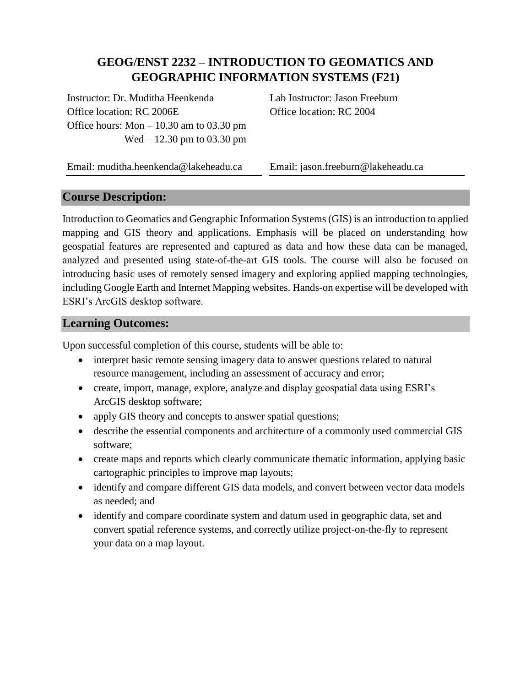# **GEOG/ENST 2232 – INTRODUCTION TO GEOMATICS AND GEOGRAPHIC INFORMATION SYSTEMS (F21)**

Instructor: Dr. Muditha Heenkenda Office location: RC 2006E Office hours: Mon – 10.30 am to 03.30 pm Wed – 12.30 pm to 03.30 pm

Lab Instructor: Jason Freeburn Office location: RC 2004

Email: muditha.heenkenda@lakeheadu.ca

Email: jason.freeburn@lakeheadu.ca

# **Course Description:**

Introduction to Geomatics and Geographic Information Systems (GIS) is an introduction to applied mapping and GIS theory and applications. Emphasis will be placed on understanding how geospatial features are represented and captured as data and how these data can be managed, analyzed and presented using state-of-the-art GIS tools. The course will also be focused on introducing basic uses of remotely sensed imagery and exploring applied mapping technologies, including Google Earth and Internet Mapping websites. Hands-on expertise will be developed with ESRI's ArcGIS desktop software.

## **Learning Outcomes:**

Upon successful completion of this course, students will be able to:

- interpret basic remote sensing imagery data to answer questions related to natural resource management, including an assessment of accuracy and error;
- create, import, manage, explore, analyze and display geospatial data using ESRI's ArcGIS desktop software;
- apply GIS theory and concepts to answer spatial questions;
- describe the essential components and architecture of a commonly used commercial GIS software;
- create maps and reports which clearly communicate thematic information, applying basic cartographic principles to improve map layouts;
- identify and compare different GIS data models, and convert between vector data models as needed; and
- identify and compare coordinate system and datum used in geographic data, set and convert spatial reference systems, and correctly utilize project-on-the-fly to represent your data on a map layout.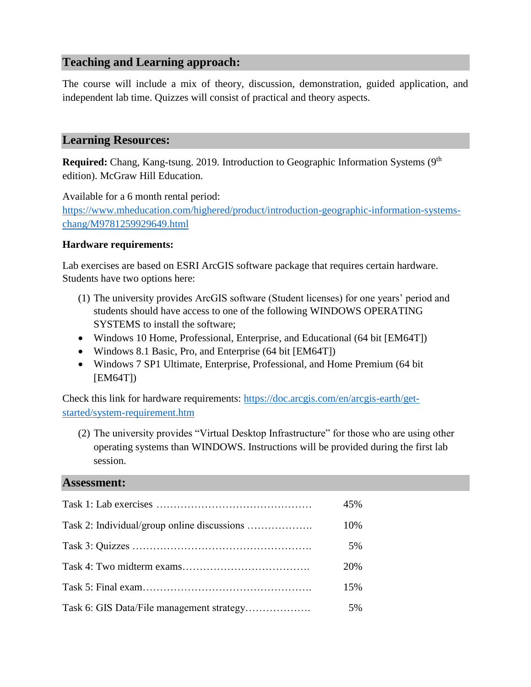# **Teaching and Learning approach:**

The course will include a mix of theory, discussion, demonstration, guided application, and independent lab time. Quizzes will consist of practical and theory aspects.

#### **Learning Resources:**

Required: Chang, Kang-tsung. 2019. Introduction to Geographic Information Systems (9<sup>th</sup> edition). McGraw Hill Education.

Available for a 6 month rental period: [https://www.mheducation.com/highered/product/introduction-geographic-information-systems](https://www.mheducation.com/highered/product/introduction-geographic-information-systems-chang/M9781259929649.html)[chang/M9781259929649.html](https://www.mheducation.com/highered/product/introduction-geographic-information-systems-chang/M9781259929649.html)

#### **Hardware requirements:**

Lab exercises are based on ESRI ArcGIS software package that requires certain hardware. Students have two options here:

- (1) The university provides ArcGIS software (Student licenses) for one years' period and students should have access to one of the following WINDOWS OPERATING SYSTEMS to install the software;
- Windows 10 Home, Professional, Enterprise, and Educational (64 bit [EM64T])
- Windows 8.1 Basic, Pro, and Enterprise (64 bit [EM64T])
- Windows 7 SP1 Ultimate, Enterprise, Professional, and Home Premium (64 bit) [EM64T])

Check this link for hardware requirements: [https://doc.arcgis.com/en/arcgis-earth/get](https://doc.arcgis.com/en/arcgis-earth/get-started/system-requirement.htm)[started/system-requirement.htm](https://doc.arcgis.com/en/arcgis-earth/get-started/system-requirement.htm)

(2) The university provides "Virtual Desktop Infrastructure" for those who are using other operating systems than WINDOWS. Instructions will be provided during the first lab session.

#### **Assessment:**

| 45% |
|-----|
| 10% |
| 5%  |
| 20% |
| 15% |
| 5%  |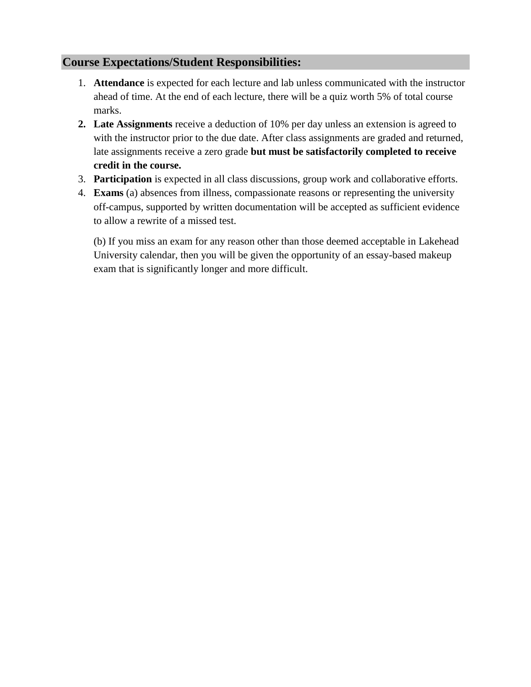# **Course Expectations/Student Responsibilities:**

- 1. **Attendance** is expected for each lecture and lab unless communicated with the instructor ahead of time. At the end of each lecture, there will be a quiz worth 5% of total course marks.
- **2. Late Assignments** receive a deduction of 10% per day unless an extension is agreed to with the instructor prior to the due date. After class assignments are graded and returned, late assignments receive a zero grade **but must be satisfactorily completed to receive credit in the course.**
- 3. **Participation** is expected in all class discussions, group work and collaborative efforts.
- 4. **Exams** (a) absences from illness, compassionate reasons or representing the university off-campus, supported by written documentation will be accepted as sufficient evidence to allow a rewrite of a missed test.

(b) If you miss an exam for any reason other than those deemed acceptable in Lakehead University calendar, then you will be given the opportunity of an essay-based makeup exam that is significantly longer and more difficult.